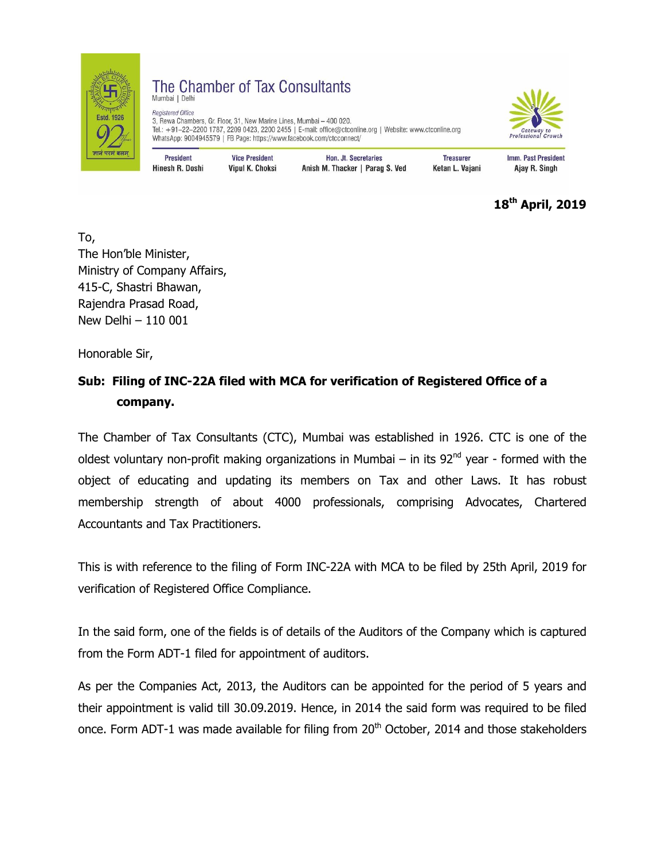

## The Chamber of Tax Consultants Mumbai | Delhi

Registered Office 3, Rewa Chambers, Gr. Floor, 31, New Marine Lines, Mumbai - 400 020. Tel.: +91-22-2200 1787, 2209 0423, 2200 2455 | E-mail: office@ctconline.org | Website: www.ctconline.org WhatsApp: 9004945579 | FB Page: https://www.facebook.com/ctcconnect/



| <b>President</b> | <b>Vice President</b> | Hon. Jt. Secretaries            | <b>Treasurer</b> | Imm. Past President |
|------------------|-----------------------|---------------------------------|------------------|---------------------|
| Hinesh R. Doshi  | Vipul K. Choksi       | Anish M. Thacker   Parag S. Ved | Ketan L. Vajani  | Ajay R. Singh       |

**18th April, 2019**

To, The Hon'ble Minister, Ministry of Company Affairs, 415-C, Shastri Bhawan, Rajendra Prasad Road, New Delhi – 110 001

Honorable Sir,

## **Sub: Filing of INC-22A filed with MCA for verification of Registered Office of a company.**

The Chamber of Tax Consultants (CTC), Mumbai was established in 1926. CTC is one of the oldest voluntary non-profit making organizations in Mumbai – in its  $92<sup>nd</sup>$  year - formed with the object of educating and updating its members on Tax and other Laws. It has robust membership strength of about 4000 professionals, comprising Advocates, Chartered Accountants and Tax Practitioners.

This is with reference to the filing of Form INC-22A with MCA to be filed by 25th April, 2019 for verification of Registered Office Compliance.

In the said form, one of the fields is of details of the Auditors of the Company which is captured from the Form ADT-1 filed for appointment of auditors.

As per the Companies Act, 2013, the Auditors can be appointed for the period of 5 years and their appointment is valid till 30.09.2019. Hence, in 2014 the said form was required to be filed once. Form ADT-1 was made available for filing from 20<sup>th</sup> October, 2014 and those stakeholders